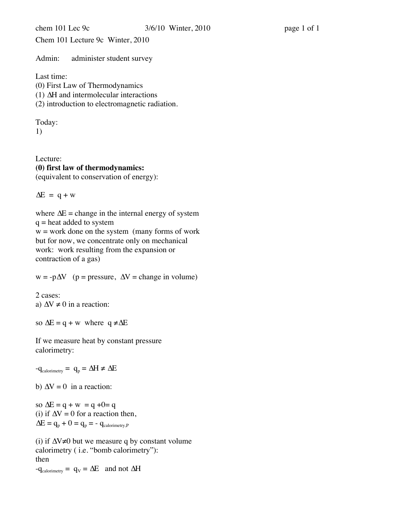Chem 101 Lecture 9c Winter, 2010

Admin: administer student survey

Last time:

(0) First Law of Thermodynamics

(1) ∆H and intermolecular interactions

(2) introduction to electromagnetic radiation.

Today:

1)

Lecture: **(0) first law of thermodynamics:** (equivalent to conservation of energy):

 $\Delta E = q + w$ 

where  $\Delta E =$  change in the internal energy of system  $q =$  heat added to system

 $w =$  work done on the system (many forms of work but for now, we concentrate only on mechanical work: work resulting from the expansion or contraction of a gas)

 $w = -p\Delta V$  (p = pressure,  $\Delta V$  = change in volume)

2 cases: a)  $\Delta V \neq 0$  in a reaction:

so  $\Delta E = q + w$  where  $q \neq \Delta E$ 

If we measure heat by constant pressure calorimetry:

 $-q_{\text{calorimetry}} = q_{p} = \Delta H \neq \Delta E$ 

b)  $\Delta V = 0$  in a reaction:

so  $\Delta E = q + w = q + 0 = q$ (i) if  $\Delta V = 0$  for a reaction then,  $\Delta E = q_p + 0 = q_p = -q_{\text{calorimetry},P}$ 

(i) if ∆V≠0 but we measure q by constant volume calorimetry ( i.e. "bomb calorimetry"): then  $-q_{\text{calorimetry}} = q_V = \Delta E$  and not  $\Delta H$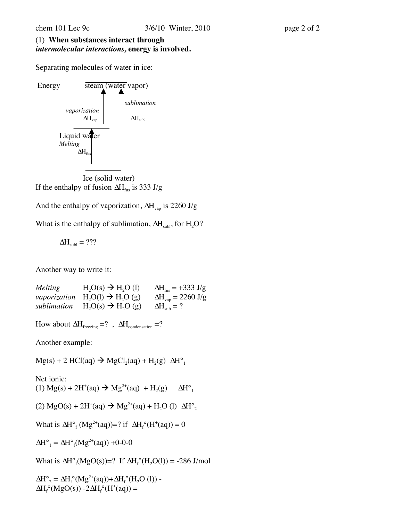## (1) **When substances interact through**  *intermolecular interactions,* **energy is involved.**

Separating molecules of water in ice:



Ice (solid water) If the enthalpy of fusion  $\Delta H_{fus}$  is 333 J/g

And the enthalpy of vaporization,  $\Delta H_{\text{van}}$  is 2260 J/g

What is the enthalpy of sublimation,  $\Delta H_{sub}$ , for  $H_2O$ ?

$$
\Delta H_{\text{subl}}=???
$$

Another way to write it:

*Melting*  $H_2O(s) \rightarrow H_2O(l)$   $\Delta H_{fus} = +333 \text{ J/g}$ *vaporization*  $H_2O(l) \rightarrow H_2O(g)$   $\Delta H_{vap} = 2260 \text{ J/g}$ <br>*sublimation*  $H_2O(s) \rightarrow H_2O(g)$   $\Delta H_{vah} = ?$  $sublimation$   $H<sub>2</sub>O(s) \rightarrow H<sub>2</sub>O(g)$ 

How about  $\Delta H_{\text{freezing}} = ?$ ,  $\Delta H_{\text{condensation}} = ?$ 

Another example:

 $Mg(s)$  + 2 HCl(aq)  $\rightarrow$  MgCl<sub>2</sub>(aq) + H<sub>2</sub>(g)  $\Delta H^{\circ}$ <sub>1</sub>

Net ionic: (1) Mg(s) + 2H<sup>+</sup>(aq) → Mg<sup>2+</sup>(aq) + H<sub>2</sub>(g)  $\Delta H^{\circ}$ <sub>1</sub>

(2) MgO(s) + 2H<sup>+</sup>(aq) 
$$
\rightarrow
$$
 Mg<sup>2+</sup>(aq) + H<sub>2</sub>O (l)  $\Delta H^{\circ}_{2}$ 

What is  $\Delta H^{\circ}$ <sub>f</sub> (Mg<sup>2+</sup>(aq))=? if  $\Delta H^{\circ}$ <sub>f</sub> (H<sup>+</sup>(aq)) = 0

$$
\Delta H^{\circ}{}_{1} = \Delta H^{\circ}{}_{f}(Mg^{2+}(aq)) + 0-0-0
$$

What is  $\Delta H^{\circ}{}_{f}(MgO(s))=?$  If  $\Delta H^{\circ}{}_{f}(H_2O(l)) = -286$  J/mol

 $\Delta H^{\circ}{}_{2} = \Delta H_{f}^{\circ} (M g^{2+}(aq)) + \Delta H_{f}^{\circ} (H_{2}O (l)) \Delta H_f^{\circ}(MgO(s)) - 2\Delta H_f^{\circ}(H^+(aq)) =$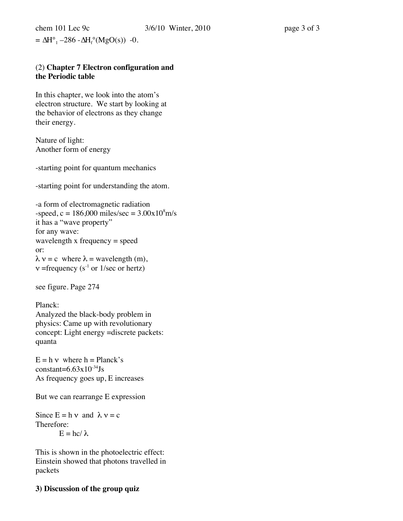$= \Delta H^{\circ}_{1} - 286 - \Delta H_{f}^{\circ}(MgO(s))$  -0.

## (2) **Chapter 7 Electron configuration and the Periodic table**

In this chapter, we look into the atom's electron structure. We start by looking at the behavior of electrons as they change their energy.

Nature of light: Another form of energy

-starting point for quantum mechanics

-starting point for understanding the atom.

```
-a form of electromagnetic radiation
-speed, c = 186,000 miles/sec = 3.00x10<sup>8</sup>m/sit has a "wave property"
for any wave:
wavelength x frequency = speed
or:
\lambda v = c where \lambda = wavelength (m),
v =frequency (s<sup>-1</sup> or 1/sec or hertz)
```
see figure. Page 274

Planck: Analyzed the black-body problem in physics: Came up with revolutionary concept: Light energy =discrete packets: quanta

 $E = h v$  where  $h = Planck's$ constant= $6.63x10^{-34}$ Js As frequency goes up, E increases

But we can rearrange E expression

Since  $E = h v$  and  $\lambda v = c$ Therefore:  $E = hc/\lambda$ 

This is shown in the photoelectric effect: Einstein showed that photons travelled in packets

## **3) Discussion of the group quiz**